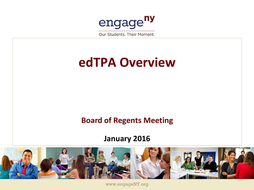

Our Students, Their Moment,

# **edTPA Overview**

### **Board of Regents Meeting**

### **January 2016**



www.engageNY.org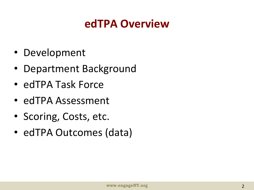## **edTPA Overview**

- Development
- Department Background
- edTPA Task Force
- edTPA Assessment
- Scoring, Costs, etc.
- edTPA Outcomes (data)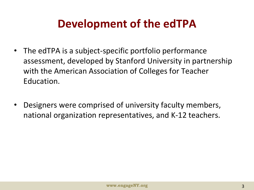## **Development of the edTPA**

- The edTPA is a subject-specific portfolio performance assessment, developed by Stanford University in partnership with the American Association of Colleges for Teacher Education.
- Designers were comprised of university faculty members, national organization representatives, and K-12 teachers.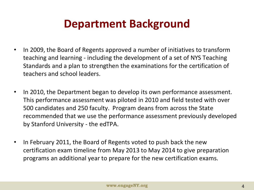## **Department Background**

- In 2009, the Board of Regents approved a number of initiatives to transform teaching and learning - including the development of a set of NYS Teaching Standards and a plan to strengthen the examinations for the certification of teachers and school leaders.
- In 2010, the Department began to develop its own performance assessment. This performance assessment was piloted in 2010 and field tested with over 500 candidates and 250 faculty. Program deans from across the State recommended that we use the performance assessment previously developed by Stanford University - the edTPA.
- In February 2011, the Board of Regents voted to push back the new certification exam timeline from May 2013 to May 2014 to give preparation programs an additional year to prepare for the new certification exams.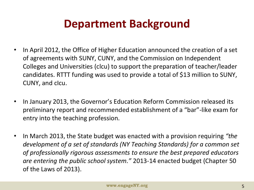## **Department Background**

- In April 2012, the Office of Higher Education announced the creation of a set of agreements with SUNY, CUNY, and the Commission on Independent Colleges and Universities (clcu) to support the preparation of teacher/leader candidates. RTTT funding was used to provide a total of \$13 million to SUNY, CUNY, and cIcu.
- In January 2013, the Governor's Education Reform Commission released its preliminary report and recommended establishment of a "bar"-like exam for entry into the teaching profession.
- In March 2013, the State budget was enacted with a provision requiring *"the development of a set of standards (NY Teaching Standards) for a common set of professionally rigorous assessments to ensure the best prepared educators are entering the public school system."* 2013-14 enacted budget (Chapter 50 of the Laws of 2013).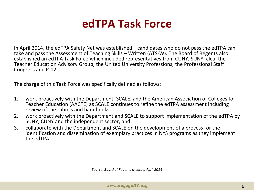### **edTPA Task Force**

In April 2014, the edTPA Safety Net was established—candidates who do not pass the edTPA can take and pass the Assessment of Teaching Skills – Written (ATS-W). The Board of Regents also established an edTPA Task Force which included representatives from CUNY, SUNY, cIcu, the Teacher Education Advisory Group, the United University Professions, the Professional Staff Congress and P-12.

The charge of this Task Force was specifically defined as follows:

- 1. work proactively with the Department, SCALE, and the American Association of Colleges for Teacher Education (AACTE) as SCALE continues to refine the edTPA assessment including review of the rubrics and handbooks;
- 2. work proactively with the Department and SCALE to support implementation of the edTPA by SUNY, CUNY and the independent sector; and
- 3. collaborate with the Department and SCALE on the development of a process for the identification and dissemination of exemplary practices in NYS programs as they implement the edTPA.

*Source: Board of Regents Meeting April 2014*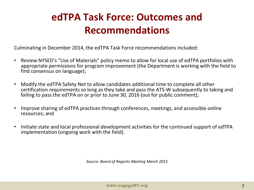### **edTPA Task Force: Outcomes and Recommendations**

Culminating in December 2014, the edTPA Task Force recommendations included:

- Review NYSED's "Use of Materials" policy memo to allow for local use of edTPA portfolios with appropriate permissions for program improvement (the Department is working with the field to find consensus on language);
- Modify the edTPA Safety Net to allow candidates additional time to complete all other certification requirements so long as they take and pass the ATS-W subsequently to taking and failing to pass the edTPA on or prior to June 30, 2016 (out for public comment);
- Improve sharing of edTPA practices through conferences, meetings, and accessible online resources; and
- Initiate state and local professional development activities for the continued support of edTPA implementation (ongoing work with the field).

*Source: Board of Regents Meeting March 2015*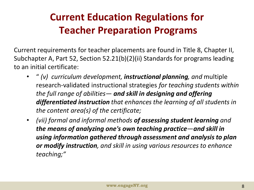### **Current Education Regulations for Teacher Preparation Programs**

Current requirements for teacher placements are found in Title 8, Chapter II, Subchapter A, Part 52, Section 52.21(b)(2)(ii) Standards for programs leading to an initial certificate:

- " *(v) curriculum development, instructional planning, and* multiple research-validated instructional strategies *for teaching students within the full range of abilities— and skill in designing and offering differentiated instruction that enhances the learning of all students in the content area(s) of the certificate;*
- *(vii) formal and informal methods of assessing student learning and the means of analyzing one's own teaching practice—and skill in using information gathered through assessment and analysis to plan or modify instruction, and skill in using various resources to enhance teaching;"*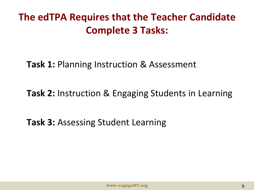**The edTPA Requires that the Teacher Candidate Complete 3 Tasks:**

**Task 1:** Planning Instruction & Assessment

**Task 2:** Instruction & Engaging Students in Learning

**Task 3:** Assessing Student Learning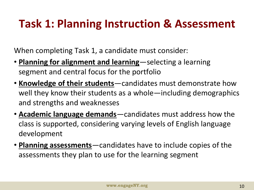# **Task 1: Planning Instruction & Assessment**

When completing Task 1, a candidate must consider:

- **Planning for alignment and learning**—selecting a learning segment and central focus for the portfolio
- **Knowledge of their students**—candidates must demonstrate how well they know their students as a whole—including demographics and strengths and weaknesses
- **Academic language demands**—candidates must address how the class is supported, considering varying levels of English language development
- **Planning assessments**—candidates have to include copies of the assessments they plan to use for the learning segment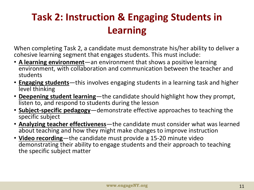### **Task 2: Instruction & Engaging Students in Learning**

When completing Task 2, a candidate must demonstrate his/her ability to deliver a cohesive learning segment that engages students. This must include:

- **A learning environment**—an environment that shows a positive learning environment, with collaboration and communication between the teacher and students
- **Engaging students**—this involves engaging students in a learning task and higher level thinking
- **Deepening student learning**—the candidate should highlight how they prompt, listen to, and respond to students during the lesson
- **Subject-specific pedagogy**—demonstrate effective approaches to teaching the specific subject
- **Analyzing teacher effectiveness**—the candidate must consider what was learned about teaching and how they might make changes to improve instruction
- **Video recording**—the candidate must provide a 15-20 minute video demonstrating their ability to engage students and their approach to teaching the specific subject matter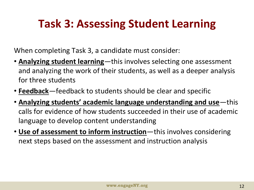# **Task 3: Assessing Student Learning**

When completing Task 3, a candidate must consider:

- **Analyzing student learning**—this involves selecting one assessment and analyzing the work of their students, as well as a deeper analysis for three students
- **Feedback**—feedback to students should be clear and specific
- **Analyzing students' academic language understanding and use**—this calls for evidence of how students succeeded in their use of academic language to develop content understanding
- **Use of assessment to inform instruction**—this involves considering next steps based on the assessment and instruction analysis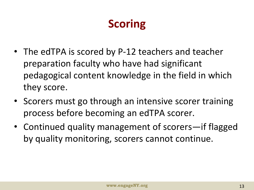# **Scoring**

- The edTPA is scored by P-12 teachers and teacher preparation faculty who have had significant pedagogical content knowledge in the field in which they score.
- Scorers must go through an intensive scorer training process before becoming an edTPA scorer.
- Continued quality management of scorers—if flagged by quality monitoring, scorers cannot continue.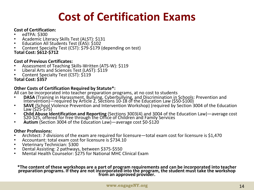# **Cost of Certification Exams**

#### **Cost of Certification:**

- edTPA: \$300
- Academic Literacy Skills Test (ALST): \$131
- Education All Students Test (EAS): \$102
- Content Specialty Test (CST): \$79-\$179 (depending on test)
- **Total Cost: \$612-\$712**

#### **Cost of Previous Certificates:**

- Assessment of Teaching Skills-Written (ATS-W): \$119
- Liberal Arts and Sciences Test (LAST): \$119
- Content Specialty Test (CST): \$119

**Total Cost: \$357**

#### **Other Costs of Certification Required by Statute\*:**

All can be incorporated into teacher preparation programs, at no cost to students

- **DASA** (Training in Harassment, Bullying, Cyberbullying, and Discrimination in Schools: Prevention and Intervention)—required by Article 2, Sections 10-18 of the Education Law (\$50-\$100)
- **SAVE** (School Violence Prevention and Intervention Workshop) (required by Section 3004 of the Education Law (\$25-\$75)
- **Child Abuse Identification and Reporting** (Sections 3003(4) and 3004 of the Education Law)—average cost \$20-\$25, offered for free through the Office of Children and Family Services
- **Autism** (Section 3004 of the Education Law)—average cost \$0-\$120

#### **Other Professions:**

- Architect: 7 divisions of the exam are required for licensure—total exam cost for licensure is \$1,470
- Accountant: total exam cost for licensure is \$734.10
- Veterinary Technician: \$300
- Dental Assisting: 2 pathways, between \$375-\$550
- Mental Health Counselor: \$275 for National MHC Clinical Exam

**\*The content of these workshops are a part of program requirements and can be incorporated into teacher preparation programs. If they are not incorporated into the program, the student must take the workshop from an approved provider.**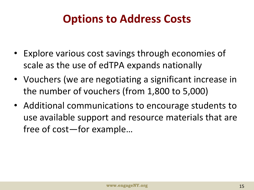# **Options to Address Costs**

- Explore various cost savings through economies of scale as the use of edTPA expands nationally
- Vouchers (we are negotiating a significant increase in the number of vouchers (from 1,800 to 5,000)
- Additional communications to encourage students to use available support and resource materials that are free of cost—for example…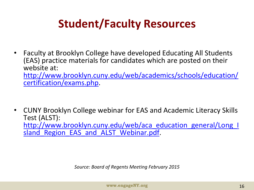# **Student/Faculty Resources**

• Faculty at Brooklyn College have developed Educating All Students (EAS) practice materials for candidates which are posted on their website at: [http://www.brooklyn.cuny.edu/web/academics/schools/education/](http://www.brooklyn.cuny.edu/web/academics/schools/education/certification/exams.php) [certification/exams.php.](http://www.brooklyn.cuny.edu/web/academics/schools/education/certification/exams.php)

• CUNY Brooklyn College webinar for EAS and Academic Literacy Skills Test (ALST): [http://www.brooklyn.cuny.edu/web/aca\\_education\\_general/Long\\_I](http://www.brooklyn.cuny.edu/web/aca_education_general/Long_Island_Region_EAS_and_ALST_Webinar.pdf) sland Region EAS and ALST Webinar.pdf.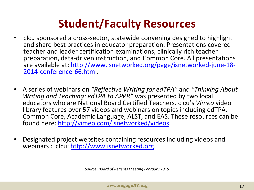# **Student/Faculty Resources**

- cIcu sponsored a cross-sector, statewide convening designed to highlight and share best practices in educator preparation. Presentations covered teacher and leader certification examinations, clinically rich teacher preparation, data-driven instruction, and Common Core. All presentations are available at: [http://www.isnetworked.org/page/isnetworked-june-18-](http://www.isnetworked.org/page/isnetworked-june-18-2014-conference-66.html) [2014-conference-66.html](http://www.isnetworked.org/page/isnetworked-june-18-2014-conference-66.html).
- A series of webinars on *"Reflective Writing for edTPA"* and *"Thinking About Writing and Teaching: edTPA to APPR"* was presented by two local educators who are National Board Certified Teachers. cIcu's *Vimeo* video library features over 57 videos and webinars on topics including edTPA, Common Core, Academic Language, ALST, and EAS. These resources can be found here:<http://vimeo.com/isnetworked/videos>.
- Designated project websites containing resources including videos and webinars : clcu: [http://www.isnetworked.org.](http://www.isnetworked.org/)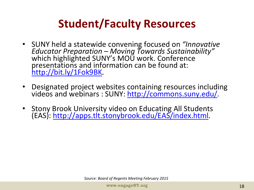# **Student/Faculty Resources**

- SUNY held a statewide convening focused on *"Innovative Educator Preparation – Moving Towards Sustainability"*  which highlighted SUNY's MOU work. Conference presentations and information can be found at: <http://bit.ly/1Fok9BK>.
- Designated project websites containing resources including videos and webinars : SUNY: [http://commons.suny.edu/.](http://commons.suny.edu/)
- Stony Brook University video on Educating All Students (EAS): [http://apps.tlt.stonybrook.edu/EAS/index.html.](http://apps.tlt.stonybrook.edu/EAS/index.html)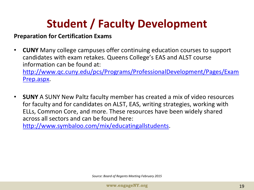# **Student / Faculty Development**

### **Preparation for Certification Exams**

- **CUNY** Many college campuses offer continuing education courses to support candidates with exam retakes. Queens College's EAS and ALST course information can be found at: [http://www.qc.cuny.edu/pcs/Programs/ProfessionalDevelopment/Pages/Exam](http://www.qc.cuny.edu/pcs/Programs/ProfessionalDevelopment/Pages/ExamPrep.aspx) [Prep.aspx](http://www.qc.cuny.edu/pcs/Programs/ProfessionalDevelopment/Pages/ExamPrep.aspx).
- **SUNY** A SUNY New Paltz faculty member has created a mix of video resources for faculty and for candidates on ALST, EAS, writing strategies, working with ELLs, Common Core, and more. These resources have been widely shared across all sectors and can be found here:

[http://www.symbaloo.com/mix/educatingallstudents.](http://www.symbaloo.com/mix/educatingallstudents)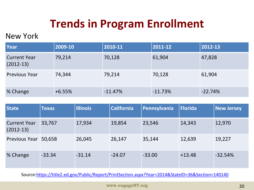# **Trends in Program Enrollment**

### New York

| Year                               | 2009-10  | $ 2010 - 11 $ | $ 2011 - 12 $ | 2012-13   |
|------------------------------------|----------|---------------|---------------|-----------|
| <b>Current Year</b><br>$(2012-13)$ | 79,214   | 70,128        | 61,904        | 47,828    |
| <b>Previous Year</b>               | 74,344   | 79,214        | 70,128        | 61,904    |
| % Change                           | $+6.55%$ | $-11.47%$     | $-11.73%$     | $-22.74%$ |

| <b>State</b>                       | <b>Texas</b> | <b>Illinois</b> | <b>California</b> | Pennsylvania | <b>Florida</b> | <b>New Jersey</b> |
|------------------------------------|--------------|-----------------|-------------------|--------------|----------------|-------------------|
| <b>Current Year</b><br>$(2012-13)$ | 33,767       | 17,934          | 19,854            | 23,546       | 14,343         | 12,970            |
| <b>Previous Year</b>               | 50,658       | 26,045          | 26,147            | 35,144       | 12,639         | 19,227            |
| % Change                           | $-33.34$     | $-31.14$        | $-24.07$          | $-33.00$     | $+13.48$       | $-32.54%$         |

Source:<https://title2.ed.gov/Public/Report/PrintSection.aspx?Year=2014&StateID=36&Section=140140>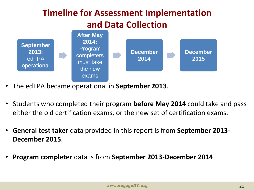### **Timeline for Assessment Implementation and Data Collection**



- The edTPA became operational in **September 2013**.
- Students who completed their program **before May 2014** could take and pass either the old certification exams, or the new set of certification exams.
- **General test taker** data provided in this report is from **September 2013- December 2015**.
- **Program completer** data is from **September 2013-December 2014**.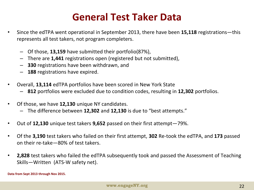### **General Test Taker Data**

- Since the edTPA went operational in September 2013, there have been **15,118** registrations—this represents all test takers, not program completers.
	- Of those, **13,159** have submitted their portfolio(87%),
	- There are **1,441** registrations open (registered but not submitted),
	- **330** registrations have been withdrawn, and
	- **188** registrations have expired.
- Overall, **13,114** edTPA portfolios have been scored in New York State
	- **812** portfolios were excluded due to condition codes, resulting in **12,302** portfolios.
- Of those, we have **12,130** unique NY candidates.
	- The difference between **12,302** and **12,130** is due to "best attempts."
- Out of **12,130** unique test takers **9,652** passed on their first attempt—79%.
- Of the **3,190** test takers who failed on their first attempt, **302** Re-took the edTPA, and **173** passed on their re-take—80% of test takers.
- **2,828** test takers who failed the edTPA subsequently took and passed the Assessment of Teaching Skills—Written (ATS-W safety net).

**Data from Sept 2013 through Nov 2015.**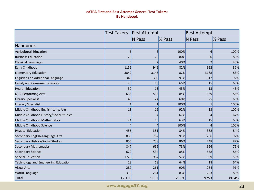#### **edTPA First and Best Attempt General Test Takers: By Handbook**

|                                         | <b>Test Takers</b> | <b>First Attempt</b> |        | <b>Best Attempt</b> |        |
|-----------------------------------------|--------------------|----------------------|--------|---------------------|--------|
|                                         |                    | <b>N</b> Pass        | % Pass | <b>N</b> Pass       | % Pass |
| <b>Handbook</b>                         |                    |                      |        |                     |        |
| <b>Agricultural Education</b>           | $6\overline{6}$    | $6 \mid$             | 100%   | 6                   | 100%   |
| <b>Business Education</b>               | 25                 | 20                   | 80%    | 20                  | 80%    |
| <b>Classical Languages</b>              | 5                  | 2                    | 40%    | $\overline{2}$      | 40%    |
| Early Childhood                         | 1155               | 945                  | 82%    | 952                 | 82%    |
| <b>Elementary Education</b>             | 3842               | 3146                 | 82%    | 3188                | 83%    |
| English as an Additional Language       | 340                | 309                  | 91%    | 312                 | 92%    |
| <b>Family and Consumer Sciences</b>     | 23                 | 15                   | 65%    | 15                  | 65%    |
| <b>Health Education</b>                 | 30                 | 13                   | 43%    | 13                  | 43%    |
| K-12 Performing Arts                    | 638                | 535                  | 84%    | 539                 | 84%    |
| Library Specialist                      | 40                 | 24                   | 60%    | 25                  | 63%    |
| <b>Literacy Specialist</b>              | 1                  | 1                    | 100%   | 1                   | 100%   |
| Middle Childhood English-Lang. Arts     | 13                 | 12                   | 92%    | 13                  | 100%   |
| Middle Childhood History/Social Studies | 6                  | $\overline{4}$       | 67%    | $\vert$             | 67%    |
| Middle Childhood Mathematics            | 24                 | 15                   | 63%    | 15                  | 63%    |
| Middle Childhood Science                | $\overline{4}$     | $\overline{4}$       | 100%   | $\overline{4}$      | 100%   |
| <b>Physical Education</b>               | 455                | 381                  | 84%    | 382                 | 84%    |
| Secondary English-Language Arts         | 833                | 762                  | 91%    | 766                 | 92%    |
| Secondary History/Social Studies        | 856                | 738                  | 86%    | 748                 | 87%    |
| <b>Secondary Mathematics</b>            | 847                | 659                  | 78%    | 666                 | 79%    |
| <b>Secondary Science</b>                | 629                | 534                  | 85%    | 538                 | 86%    |
| <b>Special Education</b>                | 1725               | 987                  | 57%    | 999                 | 58%    |
| Technology and Engineering Education    | 28                 | 18                   | 64%    | 18                  | 64%    |
| <b>Visual Arts</b>                      | 289                | 261                  | 90%    | 264                 | 91%    |
| <b>World Language</b>                   | 316                | 261                  | 83%    | 263                 | 83%    |
| Total                                   | 12,130             | 9652                 | 79.6%  | 9753                | 80.4%  |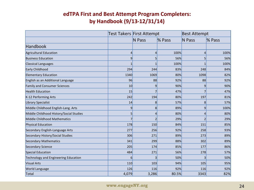### **edTPA First and Best Attempt Program Completers: by Handbook (9/13-12/31/14)**

|                                         |       | Test Takers First Attempt |        | <b>Best Attempt</b> |        |
|-----------------------------------------|-------|---------------------------|--------|---------------------|--------|
|                                         |       | <b>N</b> Pass             | % Pass | <b>N</b> Pass       | % Pass |
| Handbook                                |       |                           |        |                     |        |
| Agricultural Education                  | 4     | 4                         | 100%   | 4                   | 100%   |
| <b>Business Education</b>               | 9     | 5                         | 56%    | 5 <sup>1</sup>      | 56%    |
| <b>Classical Languages</b>              | 1     | 1                         | 100%   |                     | 100%   |
| Early Childhood                         | 294   | 244                       | 83%    | 248                 | 84%    |
| <b>Elementary Education</b>             | 1340  | 1069                      | 80%    | 1098                | 82%    |
| English as an Additional Language       | 96    | 88                        | 92%    | 88                  | 92%    |
| <b>Family and Consumer Sciences</b>     | 10    | 9                         | 90%    | 9                   | 90%    |
| <b>Health Education</b>                 | 15    |                           | 47%    |                     | 47%    |
| K-12 Performing Arts                    | 242   | 194                       | 80%    | 197                 | 81%    |
| Library Specialist                      | 14    | 8                         | 57%    | 8                   | 57%    |
| Middle Childhood English-Lang. Arts     | 9     | 8                         | 89%    | 9                   | 100%   |
| Middle Childhood History/Social Studies | 5     | 4                         | 80%    | 4                   | 80%    |
| Middle Childhood Mathematics            | 7     | 2                         | 29%    | 21                  | 29%    |
| Physical Education                      | 178   | 150                       | 84%    | 151                 | 85%    |
| Secondary English-Language Arts         | 277   | 256                       | 92%    | 258                 | 93%    |
| Secondary History/Social Studies        | 306   | 271                       | 89%    | 273                 | 89%    |
| <b>Secondary Mathematics</b>            | 341   | 299                       | 88%    | 302                 | 89%    |
| Secondary Science                       | 205   | 174                       | 85%    | 177                 | 86%    |
| Special Education                       | 484   | 271                       | 56%    | 278                 | 57%    |
| Technology and Engineering Education    | 6     | 3                         | 50%    | 3                   | 50%    |
| <b>Visual Arts</b>                      | 110   | 103                       | 94%    | 105                 | 95%    |
| <b>World Language</b>                   | 126   | 116                       | 92%    | 116                 | 92%    |
| Total                                   | 4,079 | 3,286                     | 80.5%  | 3343                | 82%    |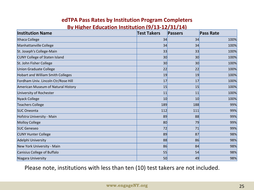#### **edTPA Pass Rates by Institution Program Completers By Higher Education Institution (9/13-12/31/14)**

| <u>Dy Thence Caacation motitation (9/ 19-12/91/ 17)</u><br><b>Institution Name</b> | <b>Test Takers</b> | <b>Passers</b> | <b>Pass Rate</b> |
|------------------------------------------------------------------------------------|--------------------|----------------|------------------|
| Ithaca College                                                                     | 34                 | 34             | 100%             |
| Manhattanville College                                                             | 34                 | 34             | 100%             |
| St. Joseph's College-Main                                                          | 33                 | 33             | 100%             |
| <b>CUNY College of Staten Island</b>                                               | 30                 | 30             | 100%             |
| St. John Fisher College                                                            | 30                 | 30             | 100%             |
| <b>Union Graduate College</b>                                                      | 22                 | 22             | 100%             |
| <b>Hobart and William Smith Colleges</b>                                           | 19                 | 19             | 100%             |
| Fordham Univ. Lincoln Ctr/Rose Hill                                                | 17                 | 17             | 100%             |
| American Museum of Natural History                                                 | 15                 | 15             | 100%             |
| University of Rochester                                                            | 11                 | 11             | 100%             |
| Nyack College                                                                      | 10                 | 10             | 100%             |
| <b>Teachers College</b>                                                            | 189                | 188            | 99%              |
| <b>SUC Oneonta</b>                                                                 | 112                | 111            | 99%              |
| Hofstra University - Main                                                          | 89                 | 88             | 99%              |
| <b>Molloy College</b>                                                              | 80                 | 79             | 99%              |
| <b>SUC Geneseo</b>                                                                 | 72                 | 71             | 99%              |
| <b>CUNY Hunter College</b>                                                         | 89                 | 87             | 98%              |
| Adelphi University                                                                 | 88                 | 86             | 98%              |
| New York University - Main                                                         | 86                 | 84             | 98%              |
| Canisius College of Buffalo                                                        | 55                 | 54             | 98%              |
| Niagara University                                                                 | 50                 | 49             | 98%              |

Please note, institutions with less than ten (10) test takers are not included.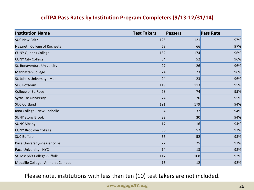#### **edTPA Pass Rates by Institution Program Completers (9/13-12/31/14)**

| <b>Institution Name</b>           | <b>Test Takers</b> | <b>Passers</b> | <b>Pass Rate</b> |
|-----------------------------------|--------------------|----------------|------------------|
| <b>SUC New Paltz</b>              | 125                | 121            | 97%              |
| Nazareth College of Rochester     | 68                 | 66             | 97%              |
| <b>CUNY Queens College</b>        | 182                | 174            | 96%              |
| <b>CUNY City College</b>          | 54                 | 52             | 96%              |
| St. Bonaventure University        | 27                 | 26             | 96%              |
| Manhattan College                 | 24                 | 23             | 96%              |
| St. John's University - Main      | 24                 | 23             | 96%              |
| <b>SUC Potsdam</b>                | 119                | 113            | 95%              |
| College of St. Rose               | 78                 | 74             | 95%              |
| <b>Syracuse University</b>        | 74                 | 70             | 95%              |
| <b>SUC Cortland</b>               | 191                | 179            | 94%              |
| Iona College - New Rochelle       | 34                 | 32             | 94%              |
| <b>SUNY Stony Brook</b>           | 32                 | 30             | 94%              |
| <b>SUNY Albany</b>                | 17                 | 16             | 94%              |
| <b>CUNY Brooklyn College</b>      | 56                 | 52             | 93%              |
| <b>SUC Buffalo</b>                | 56                 | 52             | 93%              |
| Pace University-Pleasantville     | 27                 | 25             | 93%              |
| Pace University - NYC             | 14                 | 13             | 93%              |
| St. Joseph's College-Suffolk      | 117                | 108            | 92%              |
| Medaille College - Amherst Campus | 13                 | 12             | 92%              |

Please note, institutions with less than ten (10) test takers are not included.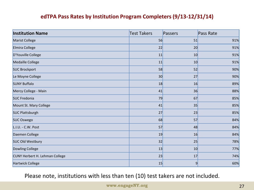#### **edTPA Pass Rates by Institution Program Completers (9/13-12/31/14)**

| <b>Institution Name</b>               | <b>Test Takers</b> | Passers        | Pass Rate |
|---------------------------------------|--------------------|----------------|-----------|
| Marist College                        | 56                 | 51             | 91%       |
| Elmira College                        | 22                 | 20             | 91%       |
| D'Youville College                    | 11                 | 10             | 91%       |
| Medaille College                      | 11                 | 10             | 91%       |
| <b>SUC Brockport</b>                  | 58                 | 52             | 90%       |
| Le Moyne College                      | 30                 | 27             | 90%       |
| <b>SUNY Buffalo</b>                   | 18                 | 16             | 89%       |
| Mercy College - Main                  | 41                 | 36             | 88%       |
| <b>SUC Fredonia</b>                   | 79                 | 67             | 85%       |
| Mount St. Mary College                | 41                 | 35             | 85%       |
| <b>SUC Plattsburgh</b>                | 27                 | 23             | 85%       |
| <b>SUC Oswego</b>                     | 68                 | 57             | 84%       |
| L.I.U. - C.W. Post                    | 57                 | 48             | 84%       |
| Daemen College                        | 19                 | 16             | 84%       |
| <b>SUC Old Westbury</b>               | 32                 | 25             | 78%       |
| Dowling College                       | 13                 | 10             | 77%       |
| <b>CUNY Herbert H. Lehman College</b> | 23                 | 17             | 74%       |
| Hartwick College                      | 15                 | $\overline{9}$ | 60%       |

Please note, institutions with less than ten (10) test takers are not included.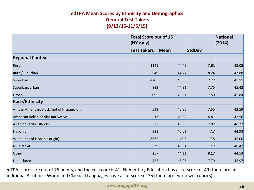#### **edTPA Mean Scores by Ethnicity and Demographics General Test Takers (9/13/15-11/5/15)**

|                                                 | <b>Total Score out of 15</b><br>(NY only) |       |               | <b>National</b><br>(2014) |
|-------------------------------------------------|-------------------------------------------|-------|---------------|---------------------------|
|                                                 | <b>Test Takers</b><br><b>Mean</b>         |       | <b>StdDev</b> |                           |
| <b>Regional Context</b>                         |                                           |       |               |                           |
| Rural                                           | 1141                                      | 44.49 | 7.61          | 43.05                     |
| Rural/Suburban                                  | 649                                       | 44.24 | 8.24          | 43.88                     |
| Suburban                                        | 4205                                      | 45.56 | 7.27          | 45.51                     |
| Suburban/urban                                  | 889                                       | 44.91 | 7.75          | 45.42                     |
| Urban                                           | 5095                                      | 45.61 | 7.59          | 45.84                     |
| <b>Race/Ethnicity</b>                           |                                           |       |               |                           |
| African American/Black (not of Hispanic origin) | 549                                       | 42.86 | 7.55          | 42.59                     |
| American Indian or Alaskan Native               | 13                                        | 45.62 | 4.81          | 42.56                     |
| Asian or Pacific Islander                       | 573                                       | 45.98 | 7.02          | 46.72                     |
| Hispanic                                        | 931                                       | 45.01 | 7.7           | 44.93                     |
| White (not of Hispanic origin)                  | 8962                                      | 45.5  | 7.5           | 45.00                     |
| Multiracial                                     | 239                                       | 45.84 | 7.7           | 46.42                     |
| Other                                           | 257                                       | 44.11 | 8.17          | 44.53                     |
| Undeclared                                      | 455                                       | 45.95 | 7.79          | 45.97                     |

edTPA scores are out of 75 points, and the cut score is 41. Elementary Education has a cut score of 49 (there are an additional 3 rubrics) World and Classical Languages have a cut score of 35 (there are two fewer rubrics).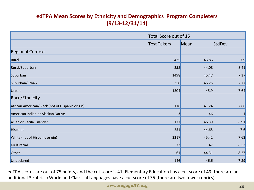### **edTPA Mean Scores by Ethnicity and Demographics Program Completers (9/13-12/31/14)**

|                                                 |                    | Total Score out of 15 |        |  |
|-------------------------------------------------|--------------------|-----------------------|--------|--|
|                                                 | <b>Test Takers</b> | Mean                  | StdDev |  |
| <b>Regional Context</b>                         |                    |                       |        |  |
| Rural                                           | 425                | 43.86                 | 7.9    |  |
| Rural/Suburban                                  | 258                | 44.08                 | 8.41   |  |
| Suburban                                        | 1498               | 45.47                 | 7.37   |  |
| Suburban/urban                                  | 358                | 45.25                 | 7.77   |  |
| Urban                                           | 1504               | 45.9                  | 7.64   |  |
| Race/Ethnicity                                  |                    |                       |        |  |
| African American/Black (not of Hispanic origin) | 116                | 41.24                 | 7.66   |  |
| American Indian or Alaskan Native               | 3                  | 46                    |        |  |
| Asian or Pacific Islander                       | 177                | 46.39                 | 6.91   |  |
| Hispanic                                        | 251                | 44.65                 | 7.6    |  |
| White (not of Hispanic origin)                  | 3217               | 45.42                 | 7.63   |  |
| Multiracial                                     | 72                 | 47                    | 8.52   |  |
| Other                                           | 61                 | 44.31                 | 8.27   |  |
| Undeclared                                      | 146                | 46.6                  | 7.39   |  |

edTPA scores are out of 75 points, and the cut score is 41. Elementary Education has a cut score of 49 (there are an additional 3 rubrics) World and Classical Languages have a cut score of 35 (there are two fewer rubrics).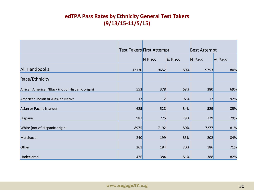### **edTPA Pass Rates by Ethnicity General Test Takers (9/13/15-11/5/15)**

|                                                 | Test Takers First Attempt |        |        | <b>Best Attempt</b> |        |
|-------------------------------------------------|---------------------------|--------|--------|---------------------|--------|
|                                                 |                           | N Pass | % Pass | $\overline{N}$ Pass | % Pass |
| <b>All Handbooks</b>                            | 12130                     | 9652   | 80%    | 9753                | 80%    |
| Race/Ethnicity                                  |                           |        |        |                     |        |
| African American/Black (not of Hispanic origin) | 553                       | 378    | 68%    | 380                 | 69%    |
| American Indian or Alaskan Native               | 13                        | 12     | 92%    | 12                  | 92%    |
| Asian or Pacific Islander                       | 625                       | 528    | 84%    | 529                 | 85%    |
| Hispanic                                        | 987                       | 775    | 79%    | 779                 | 79%    |
| White (not of Hispanic origin)                  | 8975                      | 7192   | 80%    | 7277                | 81%    |
| Multiracial                                     | 240                       | 199    | 83%    | 202                 | 84%    |
| Other                                           | 261                       | 184    | 70%    | 186                 | 71%    |
| Undeclared                                      | 476                       | 384    | 81%    | 388                 | 82%    |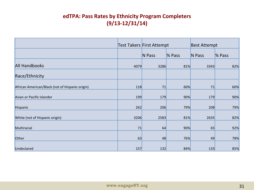### **edTPA: Pass Rates by Ethnicity Program Completers (9/13-12/31/14)**

|                                                 |      | Test Takers First Attempt |           | <b>Best Attempt</b> |           |
|-------------------------------------------------|------|---------------------------|-----------|---------------------|-----------|
|                                                 |      | N Pass                    | $\%$ Pass | N Pass              | $\%$ Pass |
| <b>All Handbooks</b>                            | 4079 | 3286                      | 81%       | 3343                | 82%       |
| Race/Ethnicity                                  |      |                           |           |                     |           |
| African American/Black (not of Hispanic origin) | 118  | 71                        | 60%       | 71                  | 60%       |
| Asian or Pacific Islander                       | 199  | 179                       | 90%       | 179                 | 90%       |
| Hispanic                                        | 262  | 206                       | 79%       | 208                 | 79%       |
| White (not of Hispanic origin)                  | 3206 | 2583                      | 81%       | 2635                | 82%       |
| Multiracial                                     | 71   | 64                        | 90%       | 65                  | 92%       |
| Other                                           | 63   | 48                        | 76%       | 49                  | 78%       |
| Undeclared                                      | 157  | 132                       | 84%       | 133                 | 85%       |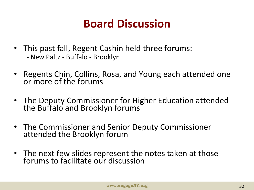## **Board Discussion**

- This past fall, Regent Cashin held three forums: - New Paltz - Buffalo - Brooklyn
- Regents Chin, Collins, Rosa, and Young each attended one or more of the forums
- The Deputy Commissioner for Higher Education attended the Buffalo and Brooklyn forums
- The Commissioner and Senior Deputy Commissioner attended the Brooklyn forum
- The next few slides represent the notes taken at those forums to facilitate our discussion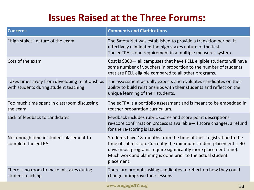### **Issues Raised at the Three Forums:**

| <b>Concerns</b>                                                                         | <b>Comments and Clarifications</b>                                                                                                                                                                                                                                                     |
|-----------------------------------------------------------------------------------------|----------------------------------------------------------------------------------------------------------------------------------------------------------------------------------------------------------------------------------------------------------------------------------------|
| "High stakes" nature of the exam                                                        | The Safety Net was established to provide a transition period. It<br>effectively eliminated the high stakes nature of the test.<br>The edTPA is one requirement in a multiple measures system.                                                                                         |
| Cost of the exam                                                                        | Cost is \$300- all campuses that have PELL eligible students will have<br>some number of vouchers in proportion to the number of students<br>that are PELL eligible compared to all other programs.                                                                                    |
| Takes times away from developing relationships<br>with students during student teaching | The assessment actually expects and evaluates candidates on their<br>ability to build relationships with their students and reflect on the<br>unique learning of their students.                                                                                                       |
| Too much time spent in classroom discussing<br>the exam                                 | The edTPA is a portfolio assessment and is meant to be embedded in<br>teacher preparation curriculum.                                                                                                                                                                                  |
| Lack of feedback to candidates                                                          | Feedback includes rubric scores and score point descriptions.<br>re-score confirmation process is available-if score changes, a refund<br>for the re-scoring is issued.                                                                                                                |
| Not enough time in student placement to<br>complete the edTPA                           | Students have 18 months from the time of their registration to the<br>time of submission. Currently the minimum student placement is 40<br>days (most programs require significantly more placement time).<br>Much work and planning is done prior to the actual student<br>placement. |
| There is no room to make mistakes during<br>student teaching                            | There are prompts asking candidates to reflect on how they could<br>change or improve their lessons.                                                                                                                                                                                   |
|                                                                                         | $\sim$ 100 mass and <b>NTV7</b> in the state                                                                                                                                                                                                                                           |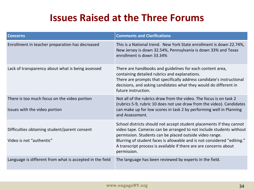### **Issues Raised at the Three Forums**

| <b>Concerns</b>                                                               | <b>Comments and Clarifications</b>                                                                                                                                                                                                                                                                                                                                    |
|-------------------------------------------------------------------------------|-----------------------------------------------------------------------------------------------------------------------------------------------------------------------------------------------------------------------------------------------------------------------------------------------------------------------------------------------------------------------|
| Enrollment in teacher preparation has decreased                               | This is a National trend. New York State enrollment is down 22.74%,<br>New Jersey is down 32.54%, Pennsylvania is down 33% and Texas<br>enrollment is down 33.34%                                                                                                                                                                                                     |
| Lack of transparency about what is being assessed                             | There are handbooks and guidelines for each content area,<br>containing detailed rubrics and explanations.<br>There are prompts that specifically address candidate's instructional<br>decisions, and asking candidates what they would do different in<br>future instruction.                                                                                        |
| There is too much focus on the video portion<br>Issues with the video portion | Not all of the rubrics draw from the video. The focus is on task 2<br>(rubrics 5-9, rubric 10 does not use draw from the video). Candidates<br>can make up for low scores in task 2 by performing well in Planning<br>and Assessment.                                                                                                                                 |
| Difficulties obtaining student/parent consent<br>Video is not "authentic"     | School districts should not accept student placements if they cannot<br>video tape. Cameras can be arranged to not include students without<br>permission. Students can be placed outside video range.<br>Blurring of student faces is allowable and is not considered "editing."<br>A transcript process is available if there are are concerns about<br>permission. |
| Language is different from what is accepted in the field                      | The language has been reviewed by experts in the field.                                                                                                                                                                                                                                                                                                               |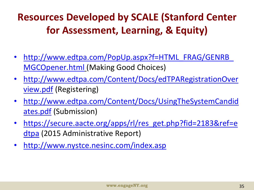### **Resources Developed by SCALE (Stanford Center for Assessment, Learning, & Equity)**

- http://www.edtpa.com/PopUp.aspx?f=HTML\_FRAG/GENRB [MGCOpener.html](http://www.edtpa.com/PopUp.aspx?f=HTML_FRAG/GENRB_MGCOpener.html) (Making Good Choices)
- [http://www.edtpa.com/Content/Docs/edTPARegistrationOver](http://www.edtpa.com/Content/Docs/edTPARegistrationOverview.pdf) [view.pdf](http://www.edtpa.com/Content/Docs/edTPARegistrationOverview.pdf) (Registering)
- [http://www.edtpa.com/Content/Docs/UsingTheSystemCandid](http://www.edtpa.com/Content/Docs/UsingTheSystemCandidates.pdf) [ates.pdf](http://www.edtpa.com/Content/Docs/UsingTheSystemCandidates.pdf) (Submission)
- [https://secure.aacte.org/apps/rl/res\\_get.php?fid=2183&ref=e](https://secure.aacte.org/apps/rl/res_get.php?fid=2183&ref=edtpa) [dtpa](https://secure.aacte.org/apps/rl/res_get.php?fid=2183&ref=edtpa) (2015 Administrative Report)
- <http://www.nystce.nesinc.com/index.asp>